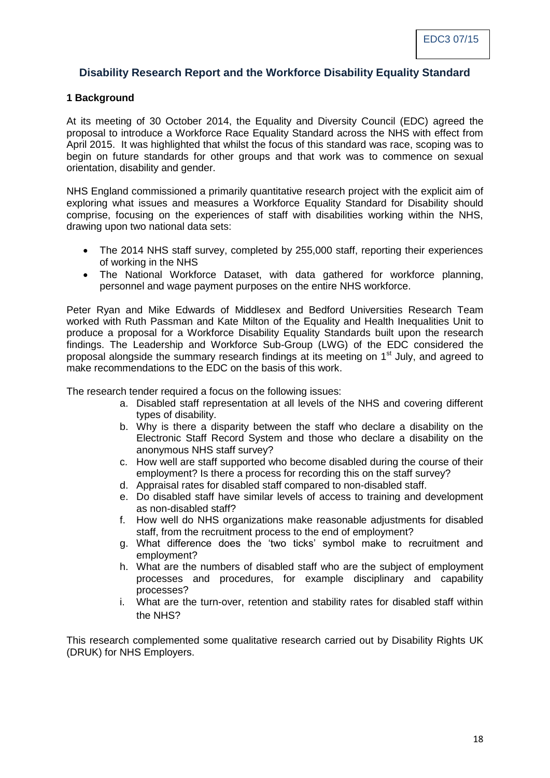# **Disability Research Report and the Workforce Disability Equality Standard**

## **1 Background**

At its meeting of 30 October 2014, the Equality and Diversity Council (EDC) agreed the proposal to introduce a Workforce Race Equality Standard across the NHS with effect from April 2015. It was highlighted that whilst the focus of this standard was race, scoping was to begin on future standards for other groups and that work was to commence on sexual orientation, disability and gender.

NHS England commissioned a primarily quantitative research project with the explicit aim of exploring what issues and measures a Workforce Equality Standard for Disability should comprise, focusing on the experiences of staff with disabilities working within the NHS, drawing upon two national data sets:

- The 2014 NHS staff survey, completed by 255,000 staff, reporting their experiences of working in the NHS
- The National Workforce Dataset, with data gathered for workforce planning, personnel and wage payment purposes on the entire NHS workforce.

Peter Ryan and Mike Edwards of Middlesex and Bedford Universities Research Team worked with Ruth Passman and Kate Milton of the Equality and Health Inequalities Unit to produce a proposal for a Workforce Disability Equality Standards built upon the research findings. The Leadership and Workforce Sub-Group (LWG) of the EDC considered the proposal alongside the summary research findings at its meeting on 1<sup>st</sup> July, and agreed to make recommendations to the EDC on the basis of this work.

The research tender required a focus on the following issues:

- a. Disabled staff representation at all levels of the NHS and covering different types of disability.
- b. Why is there a disparity between the staff who declare a disability on the Electronic Staff Record System and those who declare a disability on the anonymous NHS staff survey?
- c. How well are staff supported who become disabled during the course of their employment? Is there a process for recording this on the staff survey?
- d. Appraisal rates for disabled staff compared to non-disabled staff.
- e. Do disabled staff have similar levels of access to training and development as non-disabled staff?
- f. How well do NHS organizations make reasonable adjustments for disabled staff, from the recruitment process to the end of employment?
- g. What difference does the 'two ticks' symbol make to recruitment and employment?
- h. What are the numbers of disabled staff who are the subject of employment processes and procedures, for example disciplinary and capability processes?
- i. What are the turn-over, retention and stability rates for disabled staff within the NHS?

This research complemented some qualitative research carried out by Disability Rights UK (DRUK) for NHS Employers.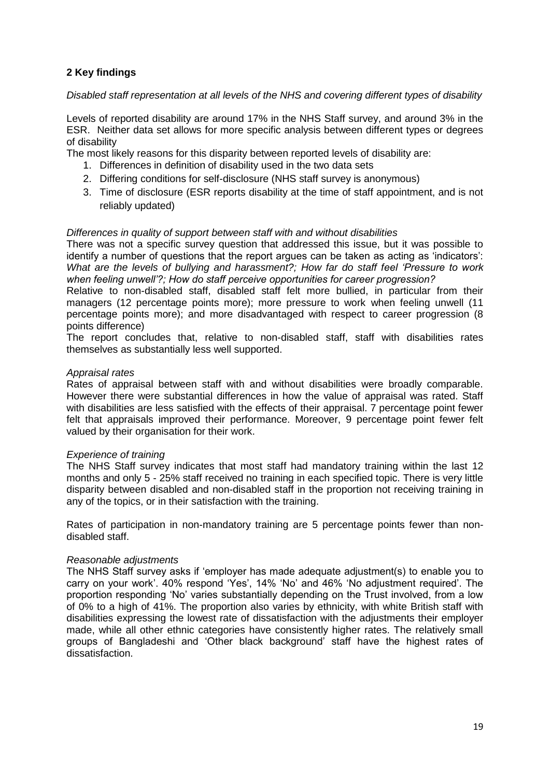## **2 Key findings**

## *Disabled staff representation at all levels of the NHS and covering different types of disability*

Levels of reported disability are around 17% in the NHS Staff survey, and around 3% in the ESR. Neither data set allows for more specific analysis between different types or degrees of disability

The most likely reasons for this disparity between reported levels of disability are:

- 1. Differences in definition of disability used in the two data sets
- 2. Differing conditions for self-disclosure (NHS staff survey is anonymous)
- 3. Time of disclosure (ESR reports disability at the time of staff appointment, and is not reliably updated)

## *Differences in quality of support between staff with and without disabilities*

There was not a specific survey question that addressed this issue, but it was possible to identify a number of questions that the report argues can be taken as acting as 'indicators': *What are the levels of bullying and harassment?; How far do staff feel 'Pressure to work when feeling unwell'?; How do staff perceive opportunities for career progression?*

Relative to non-disabled staff, disabled staff felt more bullied, in particular from their managers (12 percentage points more); more pressure to work when feeling unwell (11 percentage points more); and more disadvantaged with respect to career progression (8 points difference)

The report concludes that, relative to non-disabled staff, staff with disabilities rates themselves as substantially less well supported.

## *Appraisal rates*

Rates of appraisal between staff with and without disabilities were broadly comparable. However there were substantial differences in how the value of appraisal was rated. Staff with disabilities are less satisfied with the effects of their appraisal. 7 percentage point fewer felt that appraisals improved their performance. Moreover, 9 percentage point fewer felt valued by their organisation for their work.

#### *Experience of training*

The NHS Staff survey indicates that most staff had mandatory training within the last 12 months and only 5 - 25% staff received no training in each specified topic. There is very little disparity between disabled and non-disabled staff in the proportion not receiving training in any of the topics, or in their satisfaction with the training.

Rates of participation in non-mandatory training are 5 percentage points fewer than nondisabled staff.

#### *Reasonable adjustments*

The NHS Staff survey asks if 'employer has made adequate adjustment(s) to enable you to carry on your work'. 40% respond 'Yes', 14% 'No' and 46% 'No adjustment required'. The proportion responding 'No' varies substantially depending on the Trust involved, from a low of 0% to a high of 41%. The proportion also varies by ethnicity, with white British staff with disabilities expressing the lowest rate of dissatisfaction with the adjustments their employer made, while all other ethnic categories have consistently higher rates. The relatively small groups of Bangladeshi and 'Other black background' staff have the highest rates of dissatisfaction.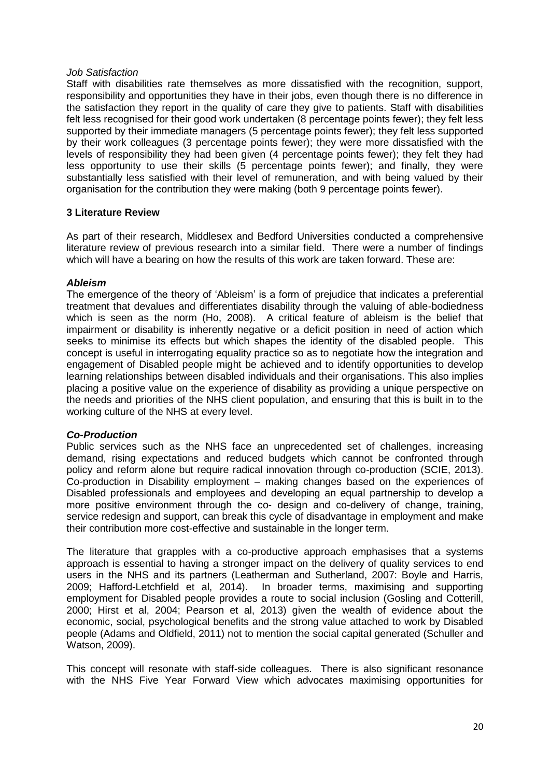#### *Job Satisfaction*

Staff with disabilities rate themselves as more dissatisfied with the recognition, support, responsibility and opportunities they have in their jobs, even though there is no difference in the satisfaction they report in the quality of care they give to patients. Staff with disabilities felt less recognised for their good work undertaken (8 percentage points fewer); they felt less supported by their immediate managers (5 percentage points fewer); they felt less supported by their work colleagues (3 percentage points fewer); they were more dissatisfied with the levels of responsibility they had been given (4 percentage points fewer); they felt they had less opportunity to use their skills (5 percentage points fewer); and finally, they were substantially less satisfied with their level of remuneration, and with being valued by their organisation for the contribution they were making (both 9 percentage points fewer).

## **3 Literature Review**

As part of their research, Middlesex and Bedford Universities conducted a comprehensive literature review of previous research into a similar field. There were a number of findings which will have a bearing on how the results of this work are taken forward. These are:

## *Ableism*

The emergence of the theory of 'Ableism' is a form of prejudice that indicates a preferential treatment that devalues and differentiates disability through the valuing of able-bodiedness which is seen as the norm (Ho, 2008). A critical feature of ableism is the belief that impairment or disability is inherently negative or a deficit position in need of action which seeks to minimise its effects but which shapes the identity of the disabled people. This concept is useful in interrogating equality practice so as to negotiate how the integration and engagement of Disabled people might be achieved and to identify opportunities to develop learning relationships between disabled individuals and their organisations. This also implies placing a positive value on the experience of disability as providing a unique perspective on the needs and priorities of the NHS client population, and ensuring that this is built in to the working culture of the NHS at every level.

## *Co-Production*

Public services such as the NHS face an unprecedented set of challenges, increasing demand, rising expectations and reduced budgets which cannot be confronted through policy and reform alone but require radical innovation through co-production (SCIE, 2013). Co-production in Disability employment – making changes based on the experiences of Disabled professionals and employees and developing an equal partnership to develop a more positive environment through the co- design and co-delivery of change, training, service redesign and support, can break this cycle of disadvantage in employment and make their contribution more cost-effective and sustainable in the longer term.

The literature that grapples with a co-productive approach emphasises that a systems approach is essential to having a stronger impact on the delivery of quality services to end users in the NHS and its partners (Leatherman and Sutherland, 2007: Boyle and Harris, 2009; Hafford-Letchfield et al, 2014). In broader terms, maximising and supporting employment for Disabled people provides a route to social inclusion (Gosling and Cotterill, 2000; Hirst et al, 2004; Pearson et al, 2013) given the wealth of evidence about the economic, social, psychological benefits and the strong value attached to work by Disabled people (Adams and Oldfield, 2011) not to mention the social capital generated (Schuller and Watson, 2009).

This concept will resonate with staff-side colleagues. There is also significant resonance with the NHS Five Year Forward View which advocates maximising opportunities for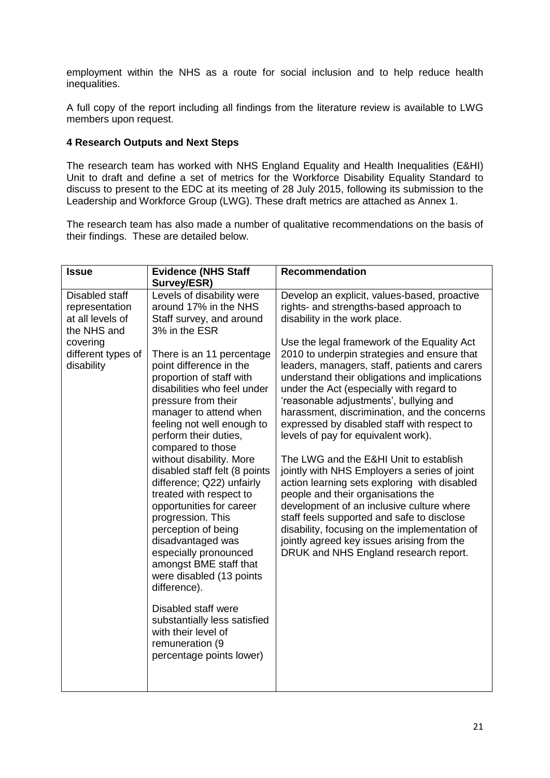employment within the NHS as a route for social inclusion and to help reduce health inequalities.

A full copy of the report including all findings from the literature review is available to LWG members upon request.

## **4 Research Outputs and Next Steps**

The research team has worked with NHS England Equality and Health Inequalities (E&HI) Unit to draft and define a set of metrics for the Workforce Disability Equality Standard to discuss to present to the EDC at its meeting of 28 July 2015, following its submission to the Leadership and Workforce Group (LWG). These draft metrics are attached as Annex 1.

The research team has also made a number of qualitative recommendations on the basis of their findings. These are detailed below.

| <b>Issue</b>                                                        | <b>Evidence (NHS Staff</b><br>Survey/ESR)                                                                                                                                                                                                                                                                                                                                                                                                                                                                                                                                                                                                                                                  | <b>Recommendation</b>                                                                                                                                                                                                                                                                                                                                                                                                                                                                                                                                                                                                                                                                                                                                                                                                                       |
|---------------------------------------------------------------------|--------------------------------------------------------------------------------------------------------------------------------------------------------------------------------------------------------------------------------------------------------------------------------------------------------------------------------------------------------------------------------------------------------------------------------------------------------------------------------------------------------------------------------------------------------------------------------------------------------------------------------------------------------------------------------------------|---------------------------------------------------------------------------------------------------------------------------------------------------------------------------------------------------------------------------------------------------------------------------------------------------------------------------------------------------------------------------------------------------------------------------------------------------------------------------------------------------------------------------------------------------------------------------------------------------------------------------------------------------------------------------------------------------------------------------------------------------------------------------------------------------------------------------------------------|
| Disabled staff<br>representation<br>at all levels of<br>the NHS and | Levels of disability were<br>around 17% in the NHS<br>Staff survey, and around<br>3% in the ESR                                                                                                                                                                                                                                                                                                                                                                                                                                                                                                                                                                                            | Develop an explicit, values-based, proactive<br>rights- and strengths-based approach to<br>disability in the work place.                                                                                                                                                                                                                                                                                                                                                                                                                                                                                                                                                                                                                                                                                                                    |
| covering<br>different types of<br>disability                        | There is an 11 percentage<br>point difference in the<br>proportion of staff with<br>disabilities who feel under<br>pressure from their<br>manager to attend when<br>feeling not well enough to<br>perform their duties,<br>compared to those<br>without disability. More<br>disabled staff felt (8 points<br>difference; Q22) unfairly<br>treated with respect to<br>opportunities for career<br>progression. This<br>perception of being<br>disadvantaged was<br>especially pronounced<br>amongst BME staff that<br>were disabled (13 points<br>difference).<br>Disabled staff were<br>substantially less satisfied<br>with their level of<br>remuneration (9<br>percentage points lower) | Use the legal framework of the Equality Act<br>2010 to underpin strategies and ensure that<br>leaders, managers, staff, patients and carers<br>understand their obligations and implications<br>under the Act (especially with regard to<br>'reasonable adjustments', bullying and<br>harassment, discrimination, and the concerns<br>expressed by disabled staff with respect to<br>levels of pay for equivalent work).<br>The LWG and the E&HI Unit to establish<br>jointly with NHS Employers a series of joint<br>action learning sets exploring with disabled<br>people and their organisations the<br>development of an inclusive culture where<br>staff feels supported and safe to disclose<br>disability, focusing on the implementation of<br>jointly agreed key issues arising from the<br>DRUK and NHS England research report. |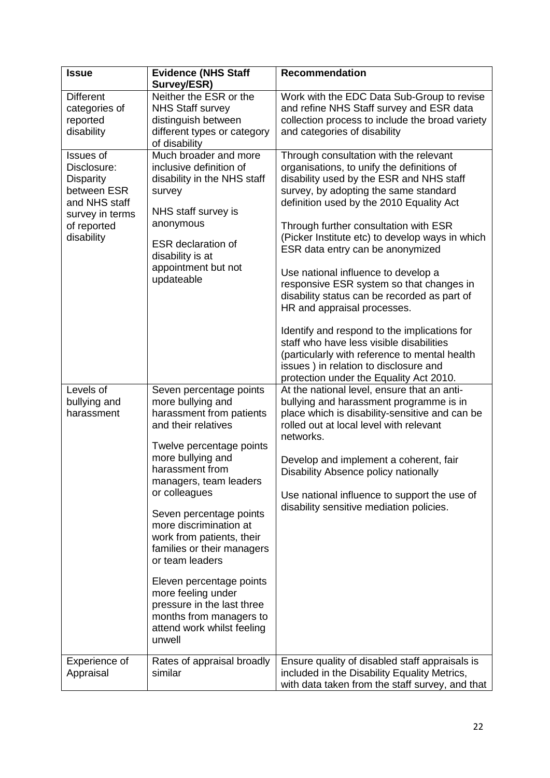| <b>Issue</b>                                                                                                                 | <b>Evidence (NHS Staff</b><br>Survey/ESR)                                                                                                                                                                                                                                                                                                                                                                                                                                                            | <b>Recommendation</b>                                                                                                                                                                                                                                                                                                                                                                                                                                                                                                                                                                                                                                                                                                                                    |
|------------------------------------------------------------------------------------------------------------------------------|------------------------------------------------------------------------------------------------------------------------------------------------------------------------------------------------------------------------------------------------------------------------------------------------------------------------------------------------------------------------------------------------------------------------------------------------------------------------------------------------------|----------------------------------------------------------------------------------------------------------------------------------------------------------------------------------------------------------------------------------------------------------------------------------------------------------------------------------------------------------------------------------------------------------------------------------------------------------------------------------------------------------------------------------------------------------------------------------------------------------------------------------------------------------------------------------------------------------------------------------------------------------|
| <b>Different</b><br>categories of<br>reported<br>disability                                                                  | Neither the ESR or the<br><b>NHS Staff survey</b><br>distinguish between<br>different types or category<br>of disability                                                                                                                                                                                                                                                                                                                                                                             | Work with the EDC Data Sub-Group to revise<br>and refine NHS Staff survey and ESR data<br>collection process to include the broad variety<br>and categories of disability                                                                                                                                                                                                                                                                                                                                                                                                                                                                                                                                                                                |
| Issues of<br>Disclosure:<br><b>Disparity</b><br>between ESR<br>and NHS staff<br>survey in terms<br>of reported<br>disability | Much broader and more<br>inclusive definition of<br>disability in the NHS staff<br>survey<br>NHS staff survey is<br>anonymous<br><b>ESR</b> declaration of<br>disability is at<br>appointment but not<br>updateable                                                                                                                                                                                                                                                                                  | Through consultation with the relevant<br>organisations, to unify the definitions of<br>disability used by the ESR and NHS staff<br>survey, by adopting the same standard<br>definition used by the 2010 Equality Act<br>Through further consultation with ESR<br>(Picker Institute etc) to develop ways in which<br>ESR data entry can be anonymized<br>Use national influence to develop a<br>responsive ESR system so that changes in<br>disability status can be recorded as part of<br>HR and appraisal processes.<br>Identify and respond to the implications for<br>staff who have less visible disabilities<br>(particularly with reference to mental health<br>issues) in relation to disclosure and<br>protection under the Equality Act 2010. |
| Levels of<br>bullying and<br>harassment                                                                                      | Seven percentage points<br>more bullying and<br>harassment from patients<br>and their relatives<br>Twelve percentage points<br>more bullying and<br>harassment from<br>managers, team leaders<br>or colleagues<br>Seven percentage points<br>more discrimination at<br>work from patients, their<br>families or their managers<br>or team leaders<br>Eleven percentage points<br>more feeling under<br>pressure in the last three<br>months from managers to<br>attend work whilst feeling<br>unwell | At the national level, ensure that an anti-<br>bullying and harassment programme is in<br>place which is disability-sensitive and can be<br>rolled out at local level with relevant<br>networks.<br>Develop and implement a coherent, fair<br>Disability Absence policy nationally<br>Use national influence to support the use of<br>disability sensitive mediation policies.                                                                                                                                                                                                                                                                                                                                                                           |
| Experience of<br>Appraisal                                                                                                   | Rates of appraisal broadly<br>similar                                                                                                                                                                                                                                                                                                                                                                                                                                                                | Ensure quality of disabled staff appraisals is<br>included in the Disability Equality Metrics,<br>with data taken from the staff survey, and that                                                                                                                                                                                                                                                                                                                                                                                                                                                                                                                                                                                                        |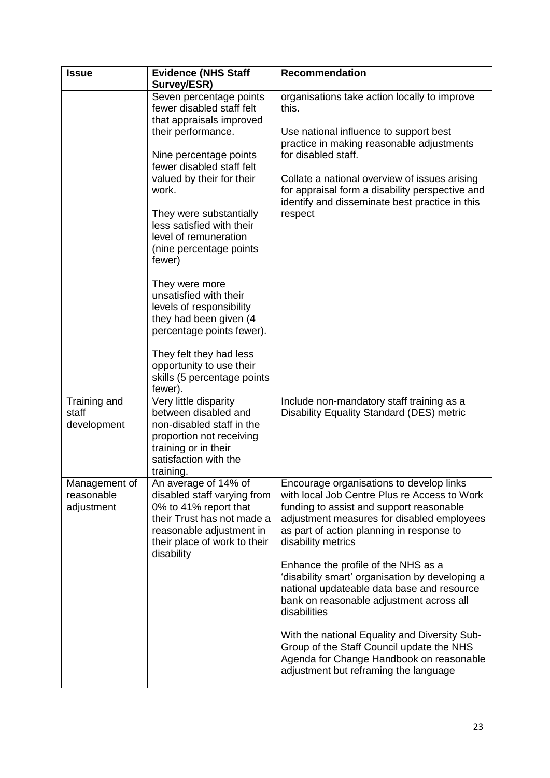| <b>Issue</b>                              | <b>Evidence (NHS Staff</b><br>Survey/ESR)                                                                                                                                            | <b>Recommendation</b>                                                                                                                                                                                                                                 |
|-------------------------------------------|--------------------------------------------------------------------------------------------------------------------------------------------------------------------------------------|-------------------------------------------------------------------------------------------------------------------------------------------------------------------------------------------------------------------------------------------------------|
|                                           | Seven percentage points<br>fewer disabled staff felt<br>that appraisals improved<br>their performance.<br>Nine percentage points                                                     | organisations take action locally to improve<br>this.<br>Use national influence to support best<br>practice in making reasonable adjustments<br>for disabled staff.                                                                                   |
|                                           | fewer disabled staff felt<br>valued by their for their<br>work.<br>They were substantially                                                                                           | Collate a national overview of issues arising<br>for appraisal form a disability perspective and<br>identify and disseminate best practice in this<br>respect                                                                                         |
|                                           | less satisfied with their<br>level of remuneration<br>(nine percentage points<br>fewer)                                                                                              |                                                                                                                                                                                                                                                       |
|                                           | They were more<br>unsatisfied with their<br>levels of responsibility<br>they had been given (4<br>percentage points fewer).                                                          |                                                                                                                                                                                                                                                       |
|                                           | They felt they had less<br>opportunity to use their<br>skills (5 percentage points<br>fewer).                                                                                        |                                                                                                                                                                                                                                                       |
| Training and<br>staff<br>development      | Very little disparity<br>between disabled and<br>non-disabled staff in the<br>proportion not receiving<br>training or in their<br>satisfaction with the<br>training.                 | Include non-mandatory staff training as a<br>Disability Equality Standard (DES) metric                                                                                                                                                                |
| Management of<br>reasonable<br>adjustment | An average of 14% of<br>disabled staff varying from<br>0% to 41% report that<br>their Trust has not made a<br>reasonable adjustment in<br>their place of work to their<br>disability | Encourage organisations to develop links<br>with local Job Centre Plus re Access to Work<br>funding to assist and support reasonable<br>adjustment measures for disabled employees<br>as part of action planning in response to<br>disability metrics |
|                                           |                                                                                                                                                                                      | Enhance the profile of the NHS as a<br>'disability smart' organisation by developing a<br>national updateable data base and resource<br>bank on reasonable adjustment across all<br>disabilities                                                      |
|                                           |                                                                                                                                                                                      | With the national Equality and Diversity Sub-<br>Group of the Staff Council update the NHS<br>Agenda for Change Handbook on reasonable<br>adjustment but reframing the language                                                                       |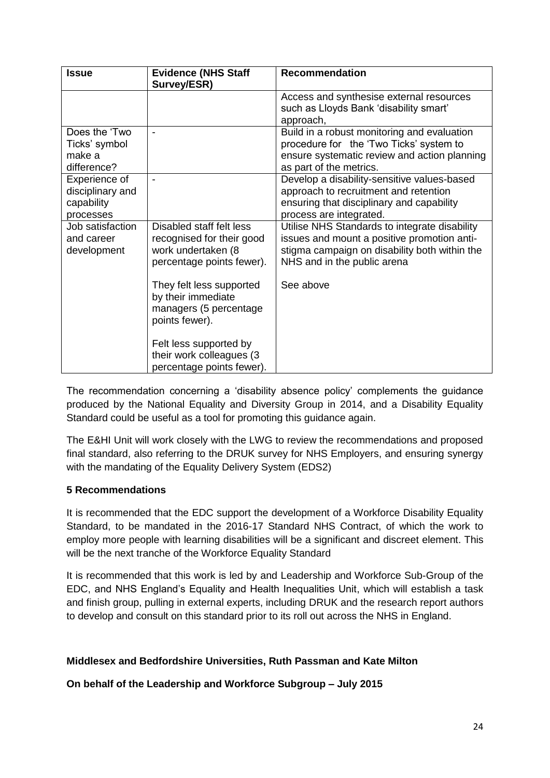| <b>Issue</b>                                                 | <b>Evidence (NHS Staff</b><br>Survey/ESR)                                                                | <b>Recommendation</b>                                                                                                                                                        |
|--------------------------------------------------------------|----------------------------------------------------------------------------------------------------------|------------------------------------------------------------------------------------------------------------------------------------------------------------------------------|
|                                                              |                                                                                                          | Access and synthesise external resources<br>such as Lloyds Bank 'disability smart'<br>approach,                                                                              |
| Does the 'Two<br>Ticks' symbol<br>make a<br>difference?      |                                                                                                          | Build in a robust monitoring and evaluation<br>procedure for the 'Two Ticks' system to<br>ensure systematic review and action planning<br>as part of the metrics.            |
| Experience of<br>disciplinary and<br>capability<br>processes |                                                                                                          | Develop a disability-sensitive values-based<br>approach to recruitment and retention<br>ensuring that disciplinary and capability<br>process are integrated.                 |
| Job satisfaction<br>and career<br>development                | Disabled staff felt less<br>recognised for their good<br>work undertaken (8<br>percentage points fewer). | Utilise NHS Standards to integrate disability<br>issues and mount a positive promotion anti-<br>stigma campaign on disability both within the<br>NHS and in the public arena |
|                                                              | They felt less supported<br>by their immediate<br>managers (5 percentage<br>points fewer).               | See above                                                                                                                                                                    |
|                                                              | Felt less supported by<br>their work colleagues (3<br>percentage points fewer).                          |                                                                                                                                                                              |

The recommendation concerning a 'disability absence policy' complements the guidance produced by the National Equality and Diversity Group in 2014, and a Disability Equality Standard could be useful as a tool for promoting this guidance again.

The E&HI Unit will work closely with the LWG to review the recommendations and proposed final standard, also referring to the DRUK survey for NHS Employers, and ensuring synergy with the mandating of the Equality Delivery System (EDS2)

# **5 Recommendations**

It is recommended that the EDC support the development of a Workforce Disability Equality Standard, to be mandated in the 2016-17 Standard NHS Contract, of which the work to employ more people with learning disabilities will be a significant and discreet element. This will be the next tranche of the Workforce Equality Standard

It is recommended that this work is led by and Leadership and Workforce Sub-Group of the EDC, and NHS England's Equality and Health Inequalities Unit, which will establish a task and finish group, pulling in external experts, including DRUK and the research report authors to develop and consult on this standard prior to its roll out across the NHS in England.

# **Middlesex and Bedfordshire Universities, Ruth Passman and Kate Milton**

**On behalf of the Leadership and Workforce Subgroup – July 2015**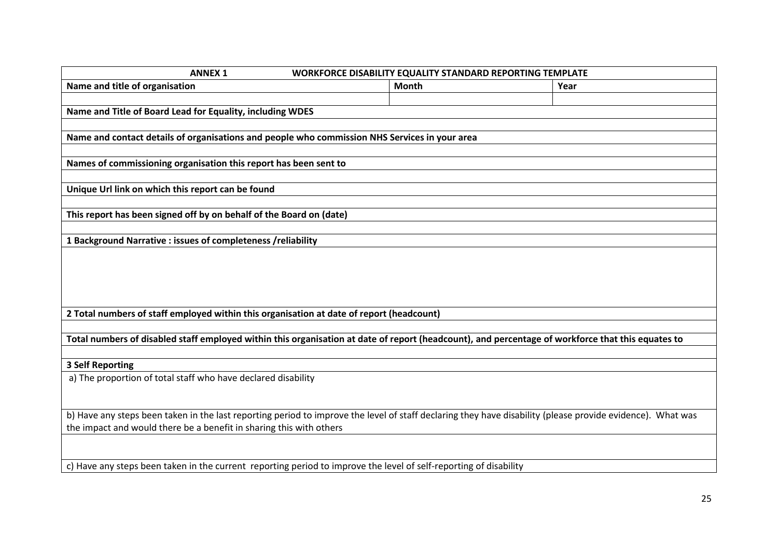| <b>ANNEX 1</b><br>WORKFORCE DISABILITY EQUALITY STANDARD REPORTING TEMPLATE                                                                                |              |      |  |  |  |
|------------------------------------------------------------------------------------------------------------------------------------------------------------|--------------|------|--|--|--|
| Name and title of organisation                                                                                                                             | <b>Month</b> | Year |  |  |  |
|                                                                                                                                                            |              |      |  |  |  |
| Name and Title of Board Lead for Equality, including WDES                                                                                                  |              |      |  |  |  |
|                                                                                                                                                            |              |      |  |  |  |
| Name and contact details of organisations and people who commission NHS Services in your area                                                              |              |      |  |  |  |
|                                                                                                                                                            |              |      |  |  |  |
| Names of commissioning organisation this report has been sent to                                                                                           |              |      |  |  |  |
|                                                                                                                                                            |              |      |  |  |  |
| Unique Url link on which this report can be found                                                                                                          |              |      |  |  |  |
|                                                                                                                                                            |              |      |  |  |  |
| This report has been signed off by on behalf of the Board on (date)                                                                                        |              |      |  |  |  |
|                                                                                                                                                            |              |      |  |  |  |
| 1 Background Narrative : issues of completeness /reliability                                                                                               |              |      |  |  |  |
|                                                                                                                                                            |              |      |  |  |  |
|                                                                                                                                                            |              |      |  |  |  |
|                                                                                                                                                            |              |      |  |  |  |
|                                                                                                                                                            |              |      |  |  |  |
| 2 Total numbers of staff employed within this organisation at date of report (headcount)                                                                   |              |      |  |  |  |
|                                                                                                                                                            |              |      |  |  |  |
| Total numbers of disabled staff employed within this organisation at date of report (headcount), and percentage of workforce that this equates to          |              |      |  |  |  |
|                                                                                                                                                            |              |      |  |  |  |
| <b>3 Self Reporting</b>                                                                                                                                    |              |      |  |  |  |
| a) The proportion of total staff who have declared disability                                                                                              |              |      |  |  |  |
|                                                                                                                                                            |              |      |  |  |  |
|                                                                                                                                                            |              |      |  |  |  |
| b) Have any steps been taken in the last reporting period to improve the level of staff declaring they have disability (please provide evidence). What was |              |      |  |  |  |
| the impact and would there be a benefit in sharing this with others                                                                                        |              |      |  |  |  |
|                                                                                                                                                            |              |      |  |  |  |
|                                                                                                                                                            |              |      |  |  |  |
| c) Have any steps been taken in the current reporting period to improve the level of self-reporting of disability                                          |              |      |  |  |  |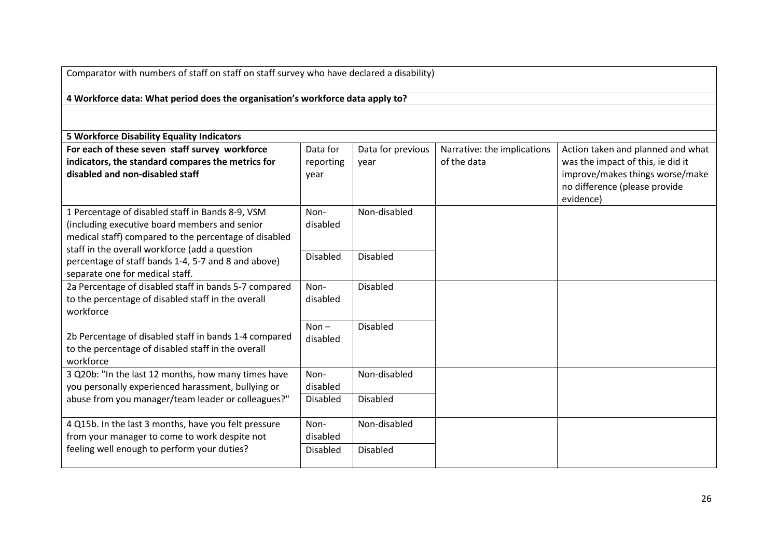| Comparator with numbers of staff on staff on staff survey who have declared a disability) |                 |                   |                             |                                   |  |
|-------------------------------------------------------------------------------------------|-----------------|-------------------|-----------------------------|-----------------------------------|--|
| 4 Workforce data: What period does the organisation's workforce data apply to?            |                 |                   |                             |                                   |  |
|                                                                                           |                 |                   |                             |                                   |  |
| <b>5 Workforce Disability Equality Indicators</b>                                         |                 |                   |                             |                                   |  |
| For each of these seven staff survey workforce                                            | Data for        | Data for previous | Narrative: the implications | Action taken and planned and what |  |
| indicators, the standard compares the metrics for                                         | reporting       | year              | of the data                 | was the impact of this, ie did it |  |
| disabled and non-disabled staff                                                           | year            |                   |                             | improve/makes things worse/make   |  |
|                                                                                           |                 |                   |                             | no difference (please provide     |  |
|                                                                                           |                 |                   |                             | evidence)                         |  |
| 1 Percentage of disabled staff in Bands 8-9, VSM                                          | Non-            | Non-disabled      |                             |                                   |  |
| (including executive board members and senior                                             | disabled        |                   |                             |                                   |  |
| medical staff) compared to the percentage of disabled                                     |                 |                   |                             |                                   |  |
| staff in the overall workforce (add a question                                            | <b>Disabled</b> | <b>Disabled</b>   |                             |                                   |  |
| percentage of staff bands 1-4, 5-7 and 8 and above)                                       |                 |                   |                             |                                   |  |
| separate one for medical staff.                                                           |                 |                   |                             |                                   |  |
| 2a Percentage of disabled staff in bands 5-7 compared                                     | Non-            | <b>Disabled</b>   |                             |                                   |  |
| to the percentage of disabled staff in the overall<br>workforce                           | disabled        |                   |                             |                                   |  |
|                                                                                           |                 |                   |                             |                                   |  |
| 2b Percentage of disabled staff in bands 1-4 compared                                     | $Non -$         | <b>Disabled</b>   |                             |                                   |  |
| to the percentage of disabled staff in the overall                                        | disabled        |                   |                             |                                   |  |
| workforce                                                                                 |                 |                   |                             |                                   |  |
| 3 Q20b: "In the last 12 months, how many times have                                       | Non-            | Non-disabled      |                             |                                   |  |
| you personally experienced harassment, bullying or                                        | disabled        |                   |                             |                                   |  |
| abuse from you manager/team leader or colleagues?"                                        | <b>Disabled</b> | <b>Disabled</b>   |                             |                                   |  |
|                                                                                           |                 |                   |                             |                                   |  |
| 4 Q15b. In the last 3 months, have you felt pressure                                      | Non-            | Non-disabled      |                             |                                   |  |
| from your manager to come to work despite not                                             | disabled        |                   |                             |                                   |  |
| feeling well enough to perform your duties?                                               | <b>Disabled</b> | <b>Disabled</b>   |                             |                                   |  |
|                                                                                           |                 |                   |                             |                                   |  |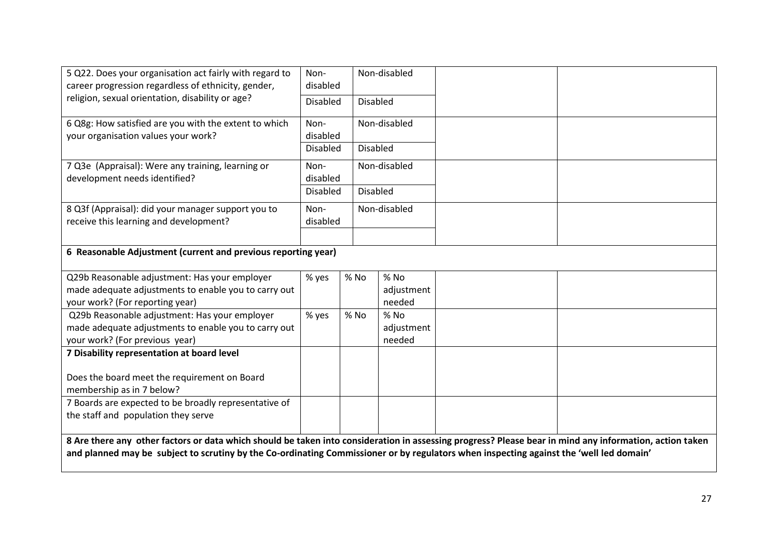| 5 Q22. Does your organisation act fairly with regard to<br>career progression regardless of ethnicity, gender,                                                                                                                                                                                     | Non-<br>disabled                   |                                    | Non-disabled |  |  |
|----------------------------------------------------------------------------------------------------------------------------------------------------------------------------------------------------------------------------------------------------------------------------------------------------|------------------------------------|------------------------------------|--------------|--|--|
| religion, sexual orientation, disability or age?                                                                                                                                                                                                                                                   | <b>Disabled</b>                    | <b>Disabled</b>                    |              |  |  |
| 6 Q8g: How satisfied are you with the extent to which<br>your organisation values your work?                                                                                                                                                                                                       | Non-<br>disabled                   |                                    | Non-disabled |  |  |
|                                                                                                                                                                                                                                                                                                    | <b>Disabled</b><br><b>Disabled</b> |                                    |              |  |  |
| 7 Q3e (Appraisal): Were any training, learning or<br>development needs identified?                                                                                                                                                                                                                 | Non-<br>disabled                   | Non-disabled                       |              |  |  |
|                                                                                                                                                                                                                                                                                                    |                                    | <b>Disabled</b><br><b>Disabled</b> |              |  |  |
| 8 Q3f (Appraisal): did your manager support you to<br>receive this learning and development?                                                                                                                                                                                                       | Non-<br>disabled                   |                                    | Non-disabled |  |  |
| 6 Reasonable Adjustment (current and previous reporting year)                                                                                                                                                                                                                                      |                                    |                                    |              |  |  |
| Q29b Reasonable adjustment: Has your employer                                                                                                                                                                                                                                                      | % yes                              | % No                               | % No         |  |  |
| made adequate adjustments to enable you to carry out                                                                                                                                                                                                                                               |                                    |                                    | adjustment   |  |  |
| your work? (For reporting year)                                                                                                                                                                                                                                                                    |                                    |                                    | needed       |  |  |
| Q29b Reasonable adjustment: Has your employer                                                                                                                                                                                                                                                      | % yes                              | % No                               | $%$ No       |  |  |
| made adequate adjustments to enable you to carry out                                                                                                                                                                                                                                               |                                    |                                    | adjustment   |  |  |
| your work? (For previous year)<br>7 Disability representation at board level                                                                                                                                                                                                                       |                                    |                                    | needed       |  |  |
|                                                                                                                                                                                                                                                                                                    |                                    |                                    |              |  |  |
| Does the board meet the requirement on Board                                                                                                                                                                                                                                                       |                                    |                                    |              |  |  |
| membership as in 7 below?                                                                                                                                                                                                                                                                          |                                    |                                    |              |  |  |
| 7 Boards are expected to be broadly representative of<br>the staff and population they serve                                                                                                                                                                                                       |                                    |                                    |              |  |  |
| 8 Are there any other factors or data which should be taken into consideration in assessing progress? Please bear in mind any information, action taken<br>and planned may be subject to scrutiny by the Co-ordinating Commissioner or by regulators when inspecting against the 'well led domain' |                                    |                                    |              |  |  |